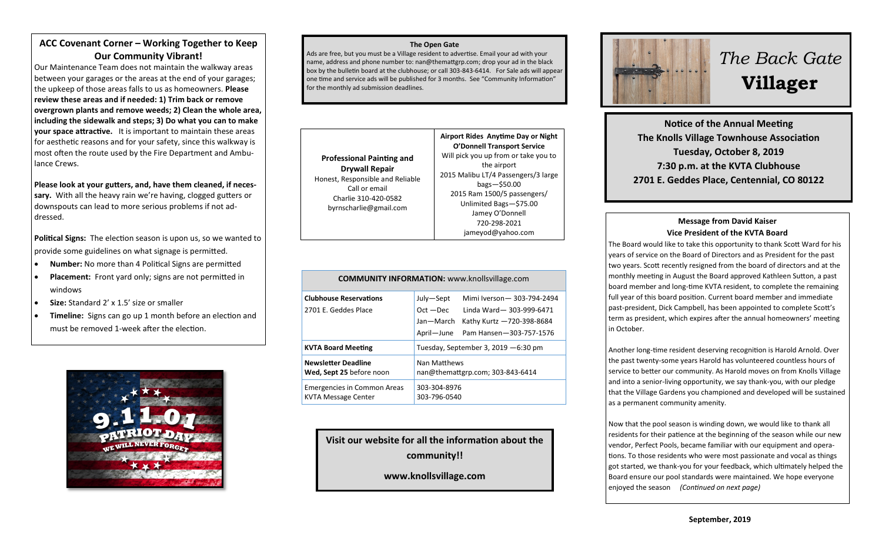# **ACC Covenant Corner – Working Together to Keep Our Community Vibrant!**

Our Maintenance Team does not maintain the walkway areas between your garages or the areas at the end of your garages; the upkeep of those areas falls to us as homeowners. **Please review these areas and if needed: 1) Trim back or remove overgrown plants and remove weeds; 2) Clean the whole area, including the sidewalk and steps; 3) Do what you can to make your space attractive.** It is important to maintain these areas for aesthetic reasons and for your safety, since this walkway is most often the route used by the Fire Department and Ambulance Crews.

**Please look at your gutters, and, have them cleaned, if necessary.** With all the heavy rain we're having, clogged gutters or downspouts can lead to more serious problems if not addressed.

**Political Signs:** The election season is upon us, so we wanted to provide some guidelines on what signage is permitted.

- **Number:** No more than 4 Political Signs are permitted
- **Placement:** Front yard only; signs are not permitted in windows
- **Size:** Standard 2' x 1.5' size or smaller
- **Timeline:** Signs can go up 1 month before an election and must be removed 1-week after the election.



#### **The Open Gate**

Ads are free, but you must be a Village resident to advertise. Email your ad with your name, address and phone number to: nan@themattgrp.com; drop your ad in the black box by the bulletin board at the clubhouse; or call 303-843-6414. For Sale ads will appear one time and service ads will be published for 3 months. See "Community Information" for the monthly ad submission deadlines.



| <b>COMMUNITY INFORMATION:</b> www.knollsvillage.com       |                                                                                                                                                                       |
|-----------------------------------------------------------|-----------------------------------------------------------------------------------------------------------------------------------------------------------------------|
| <b>Clubhouse Reservations</b><br>2701 E. Geddes Place     | Mimi Iverson - 303-794-2494<br>July-Sept<br>$Oct - Dec$<br>Linda Ward-303-999-6471<br>Jan-March<br>Kathy Kurtz -720-398-8684<br>April-June<br>Pam Hansen-303-757-1576 |
| <b>KVTA Board Meeting</b>                                 | Tuesday, September 3, 2019 $-6:30$ pm                                                                                                                                 |
| <b>Newsletter Deadline</b><br>Wed, Sept 25 before noon    | Nan Matthews<br>nan@themattgrp.com; 303-843-6414                                                                                                                      |
| Emergencies in Common Areas<br><b>KVTA Message Center</b> | 303-304-8976<br>303-796-0540                                                                                                                                          |

**Visit our website for all the information about the community!!**

**www.knollsvillage.com**



# *The Back Gate*  **Villager**

**Notice of the Annual Meeting The Knolls Village Townhouse Association Tuesday, October 8, 2019 7:30 p.m. at the KVTA Clubhouse 2701 E. Geddes Place, Centennial, CO 80122**

## **Message from David Kaiser Vice President of the KVTA Board**

The Board would like to take this opportunity to thank Scott Ward for his years of service on the Board of Directors and as President for the past two years. Scott recently resigned from the board of directors and at the monthly meeting in August the Board approved Kathleen Sutton, a past board member and long-time KVTA resident, to complete the remaining full year of this board position. Current board member and immediate past-president, Dick Campbell, has been appointed to complete Scott's term as president, which expires after the annual homeowners' meeting in October.

Another long-time resident deserving recognition is Harold Arnold. Over the past twenty-some years Harold has volunteered countless hours of service to better our community. As Harold moves on from Knolls Village and into a senior-living opportunity, we say thank-you, with our pledge that the Village Gardens you championed and developed will be sustained as a permanent community amenity.

Now that the pool season is winding down, we would like to thank all residents for their patience at the beginning of the season while our new vendor, Perfect Pools, became familiar with our equipment and operations. To those residents who were most passionate and vocal as things got started, we thank-you for your feedback, which ultimately helped the Board ensure our pool standards were maintained. We hope everyone enjoyed the season*(Continued on next page)*